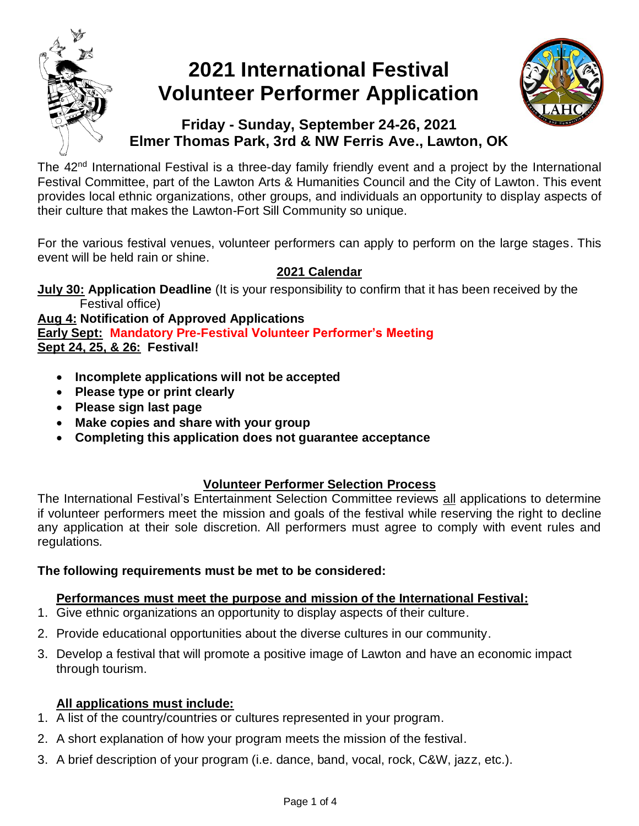

# **2021 International Festival Volunteer Performer Application**



# **Friday - Sunday, September 24-26, 2021 Elmer Thomas Park, 3rd & NW Ferris Ave., Lawton, OK**

The 42<sup>nd</sup> International Festival is a three-day family friendly event and a project by the International Festival Committee, part of the Lawton Arts & Humanities Council and the City of Lawton. This event provides local ethnic organizations, other groups, and individuals an opportunity to display aspects of their culture that makes the Lawton-Fort Sill Community so unique.

For the various festival venues, volunteer performers can apply to perform on the large stages. This event will be held rain or shine.

## **2021 Calendar**

**July 30: Application Deadline** (It is your responsibility to confirm that it has been received by the Festival office)

**Aug 4: Notification of Approved Applications Early Sept: Mandatory Pre-Festival Volunteer Performer's Meeting Sept 24, 25, & 26: Festival!** 

- **Incomplete applications will not be accepted**
- **Please type or print clearly**
- **Please sign last page**
- **Make copies and share with your group**
- **Completing this application does not guarantee acceptance**

## **Volunteer Performer Selection Process**

The International Festival's Entertainment Selection Committee reviews all applications to determine if volunteer performers meet the mission and goals of the festival while reserving the right to decline any application at their sole discretion. All performers must agree to comply with event rules and regulations.

## **The following requirements must be met to be considered:**

## **Performances must meet the purpose and mission of the International Festival:**

- 1. Give ethnic organizations an opportunity to display aspects of their culture.
- 2. Provide educational opportunities about the diverse cultures in our community.
- 3. Develop a festival that will promote a positive image of Lawton and have an economic impact through tourism.

## **All applications must include:**

- 1. A list of the country/countries or cultures represented in your program.
- 2. A short explanation of how your program meets the mission of the festival.
- 3. A brief description of your program (i.e. dance, band, vocal, rock, C&W, jazz, etc.).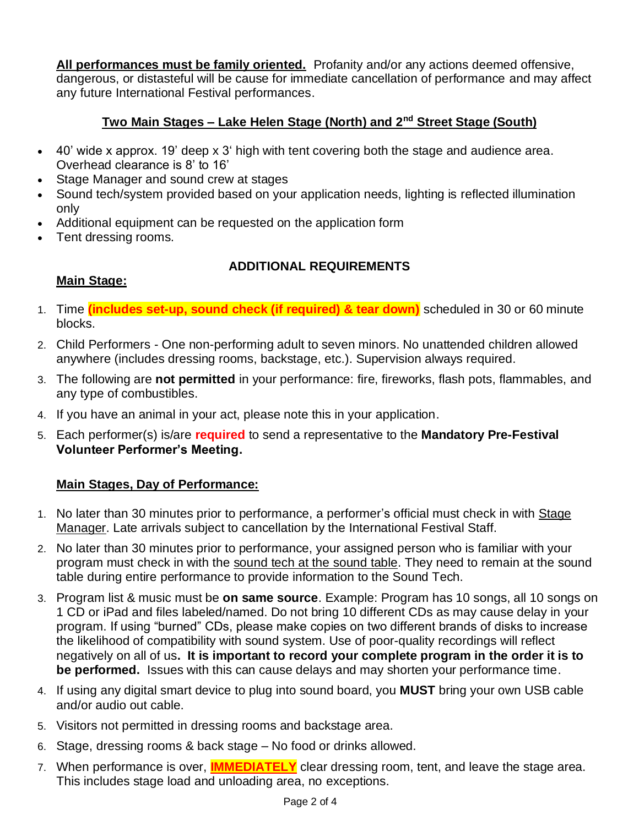**All performances must be family oriented.** Profanity and/or any actions deemed offensive, dangerous, or distasteful will be cause for immediate cancellation of performance and may affect any future International Festival performances.

#### **Two Main Stages – Lake Helen Stage (North) and 2nd Street Stage (South)**

- 40' wide x approx. 19' deep x 3' high with tent covering both the stage and audience area. Overhead clearance is 8' to 16'
- Stage Manager and sound crew at stages
- Sound tech/system provided based on your application needs, lighting is reflected illumination only
- Additional equipment can be requested on the application form
- Tent dressing rooms.

#### **ADDITIONAL REQUIREMENTS**

- **Main Stage:**
- 1. Time **(includes set-up, sound check (if required) & tear down)** scheduled in 30 or 60 minute blocks.
- 2. Child Performers One non-performing adult to seven minors. No unattended children allowed anywhere (includes dressing rooms, backstage, etc.). Supervision always required.
- 3. The following are **not permitted** in your performance: fire, fireworks, flash pots, flammables, and any type of combustibles.
- 4. If you have an animal in your act, please note this in your application.
- 5. Each performer(s) is/are **required** to send a representative to the **Mandatory Pre-Festival Volunteer Performer's Meeting.**

#### **Main Stages, Day of Performance:**

- 1. No later than 30 minutes prior to performance, a performer's official must check in with Stage Manager. Late arrivals subject to cancellation by the International Festival Staff.
- 2. No later than 30 minutes prior to performance, your assigned person who is familiar with your program must check in with the sound tech at the sound table. They need to remain at the sound table during entire performance to provide information to the Sound Tech.
- 3. Program list & music must be **on same source**. Example: Program has 10 songs, all 10 songs on 1 CD or iPad and files labeled/named. Do not bring 10 different CDs as may cause delay in your program. If using "burned" CDs, please make copies on two different brands of disks to increase the likelihood of compatibility with sound system. Use of poor-quality recordings will reflect negatively on all of us**. It is important to record your complete program in the order it is to be performed.** Issues with this can cause delays and may shorten your performance time.
- 4. If using any digital smart device to plug into sound board, you **MUST** bring your own USB cable and/or audio out cable.
- 5. Visitors not permitted in dressing rooms and backstage area.
- 6. Stage, dressing rooms & back stage No food or drinks allowed.
- 7. When performance is over, **IMMEDIATELY** clear dressing room, tent, and leave the stage area. This includes stage load and unloading area, no exceptions.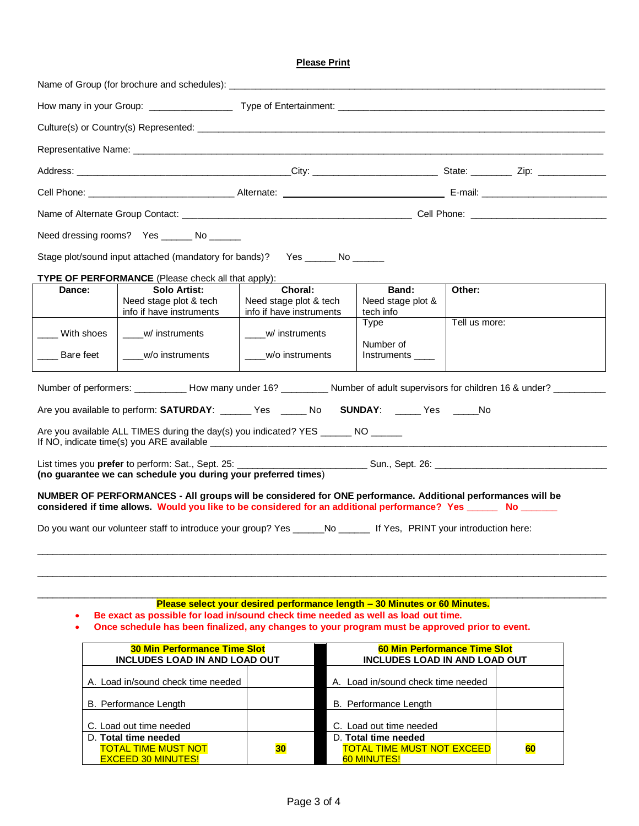#### **Please Print**

|                                                                                                                               | Need dressing rooms? Yes ______ No _____                                                                                                                                                                                    |                                                                                 |                                |               |  |  |  |
|-------------------------------------------------------------------------------------------------------------------------------|-----------------------------------------------------------------------------------------------------------------------------------------------------------------------------------------------------------------------------|---------------------------------------------------------------------------------|--------------------------------|---------------|--|--|--|
| Stage plot/sound input attached (mandatory for bands)?  Yes ______ No ______                                                  |                                                                                                                                                                                                                             |                                                                                 |                                |               |  |  |  |
|                                                                                                                               | TYPE OF PERFORMANCE (Please check all that apply):                                                                                                                                                                          |                                                                                 |                                |               |  |  |  |
| Dance:                                                                                                                        | Solo Artist:                                                                                                                                                                                                                | Choral:                                                                         | Band:                          | Other:        |  |  |  |
|                                                                                                                               | Need stage plot & tech<br>info if have instruments                                                                                                                                                                          | Need stage plot & tech<br>info if have instruments                              | Need stage plot &<br>tech info |               |  |  |  |
|                                                                                                                               |                                                                                                                                                                                                                             |                                                                                 | Type                           | Tell us more: |  |  |  |
| With shoes                                                                                                                    | w/ instruments                                                                                                                                                                                                              | ____w/ instruments                                                              |                                |               |  |  |  |
|                                                                                                                               |                                                                                                                                                                                                                             |                                                                                 | Number of                      |               |  |  |  |
| Bare feet                                                                                                                     | w/o instruments                                                                                                                                                                                                             | w/o instruments                                                                 | Instruments ____               |               |  |  |  |
| Number of performers: ___________ How many under 16? __________ Number of adult supervisors for children 16 & under? ________ |                                                                                                                                                                                                                             |                                                                                 |                                |               |  |  |  |
| Are you available to perform: SATURDAY: ______ Yes _____ No SUNDAY: _____ Yes _____ No                                        |                                                                                                                                                                                                                             |                                                                                 |                                |               |  |  |  |
| Are you available ALL TIMES during the day(s) you indicated? YES _______ NO _____                                             |                                                                                                                                                                                                                             |                                                                                 |                                |               |  |  |  |
| List times you <b>prefer</b> to perform: Sat., Sept. 25:<br>(no guarantee we can schedule you during your preferred times)    |                                                                                                                                                                                                                             |                                                                                 |                                |               |  |  |  |
|                                                                                                                               | NUMBER OF PERFORMANCES - All groups will be considered for ONE performance. Additional performances will be<br>considered if time allows. Would you like to be considered for an additional performance? Yes _____ No _____ |                                                                                 |                                |               |  |  |  |
| Do you want our volunteer staff to introduce your group? Yes _____No _____ If Yes, PRINT your introduction here:              |                                                                                                                                                                                                                             |                                                                                 |                                |               |  |  |  |
|                                                                                                                               |                                                                                                                                                                                                                             |                                                                                 |                                |               |  |  |  |
|                                                                                                                               |                                                                                                                                                                                                                             | <b>Please solect vour desired performance length - 30 Minutes or 60 Minutes</b> |                                |               |  |  |  |

**Please select your desired performance length – 30 Minutes or 60 Minutes.** • **Be exact as possible for load in/sound check time needed as well as load out time.** 

• **Once schedule has been finalized, any changes to your program must be approved prior to event.**

| <b>30 Min Performance Time Slot</b><br><b>INCLUDES LOAD IN AND LOAD OUT</b> | <b>60 Min Performance Time Slot</b><br><b>INCLUDES LOAD IN AND LOAD OUT</b> |                                                           |    |
|-----------------------------------------------------------------------------|-----------------------------------------------------------------------------|-----------------------------------------------------------|----|
| A. Load in/sound check time needed                                          |                                                                             | A. Load in/sound check time needed                        |    |
| B. Performance Length                                                       |                                                                             | B. Performance Length                                     |    |
| C. Load out time needed                                                     |                                                                             | C. Load out time needed                                   |    |
| D. Total time needed<br><b>TOTAL TIME MUST NOT</b>                          |                                                                             | D. Total time needed<br><b>TOTAL TIME MUST NOT EXCEED</b> | 60 |
| 30<br><b>EXCEED 30 MINUTES!</b>                                             |                                                                             | <b>60 MINUTES!</b>                                        |    |